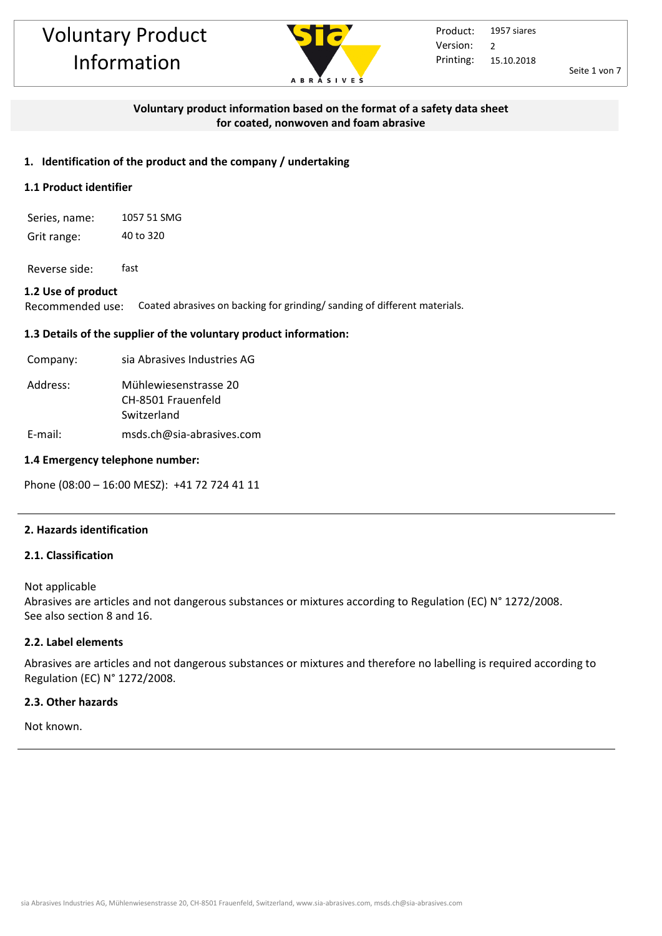

Seite 1 von 7

## **Voluntary product information based on the format of a safety data sheet for coated, nonwoven and foam abrasive**

#### **1. Identification of the product and the company / undertaking**

#### **1.1 Product identifier**

Series, name: 1057 51 SMG Grit range: 40 to 320

Reverse side: fast

#### **1.2 Use of product**

Recommended use: Coated abrasives on backing for grinding/ sanding of different materials.

#### **1.3 Details of the supplier of the voluntary product information:**

| Company: | sia Abrasives Industries AG                                |
|----------|------------------------------------------------------------|
| Address: | Mühlewiesenstrasse 20<br>CH-8501 Frauenfeld<br>Switzerland |
| E-mail:  | msds.ch@sia-abrasives.com                                  |

#### **1.4 Emergency telephone number:**

Phone (08:00 – 16:00 MESZ): +41 72 724 41 11

#### **2. Hazards identification**

#### **2.1. Classification**

Not applicable Abrasives are articles and not dangerous substances or mixtures according to Regulation (EC) N° 1272/2008. See also section 8 and 16.

#### **2.2. Label elements**

Abrasives are articles and not dangerous substances or mixtures and therefore no labelling is required according to Regulation (EC) N° 1272/2008.

#### **2.3. Other hazards**

Not known.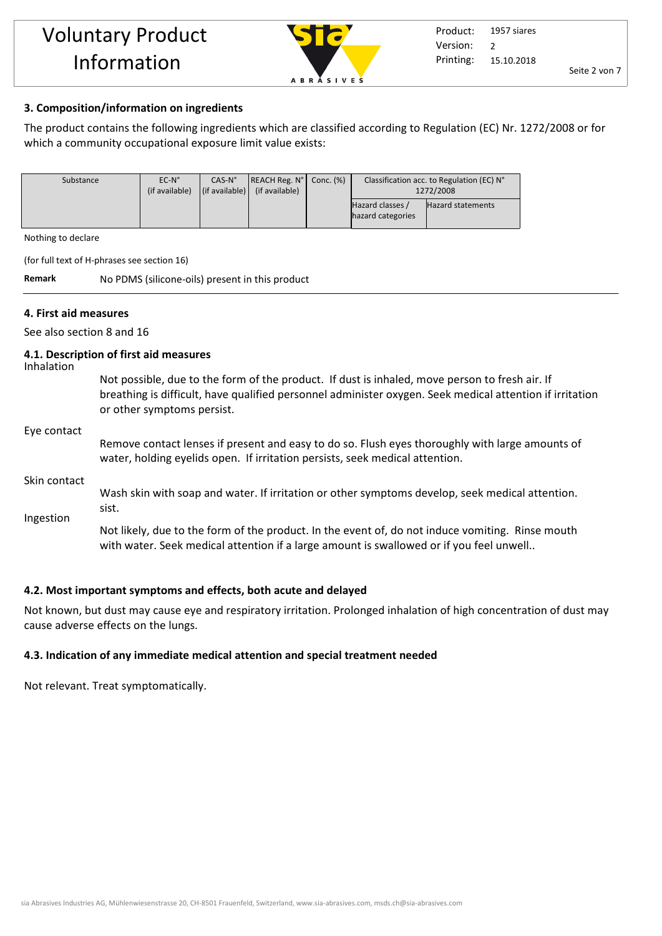

#### **3. Composition/information on ingredients**

The product contains the following ingredients which are classified according to Regulation (EC) Nr. 1272/2008 or for which a community occupational exposure limit value exists:

| Substance | $EC-N^{\circ}$ | $CAS-N^{\circ}$                | $ REACH Reg. No $ Conc. $%$ | Classification acc. to Regulation (EC) N° |                          |
|-----------|----------------|--------------------------------|-----------------------------|-------------------------------------------|--------------------------|
|           | (if available) | $\vert$ (if available) $\vert$ | (if available)              | 1272/2008                                 |                          |
|           |                |                                |                             | Hazard classes /                          | <b>Hazard statements</b> |
|           |                |                                |                             | hazard categories                         |                          |

Nothing to declare

(for full text of H-phrases see section 16)

**Remark** No PDMS (silicone-oils) present in this product

#### **4. First aid measures**

See also section 8 and 16

#### **4.1. Description of first aid measures**

Inhalation

Not possible, due to the form of the product. If dust is inhaled, move person to fresh air. If breathing is difficult, have qualified personnel administer oxygen. Seek medical attention if irritation or other symptoms persist.

#### Eye contact

Remove contact lenses if present and easy to do so. Flush eyes thoroughly with large amounts of water, holding eyelids open. If irritation persists, seek medical attention.

#### Skin contact

Wash skin with soap and water. If irritation or other symptoms develop, seek medical attention. sist.

Ingestion

Not likely, due to the form of the product. In the event of, do not induce vomiting. Rinse mouth with water. Seek medical attention if a large amount is swallowed or if you feel unwell..

#### **4.2. Most important symptoms and effects, both acute and delayed**

Not known, but dust may cause eye and respiratory irritation. Prolonged inhalation of high concentration of dust may cause adverse effects on the lungs.

#### **4.3. Indication of any immediate medical attention and special treatment needed**

Not relevant. Treat symptomatically.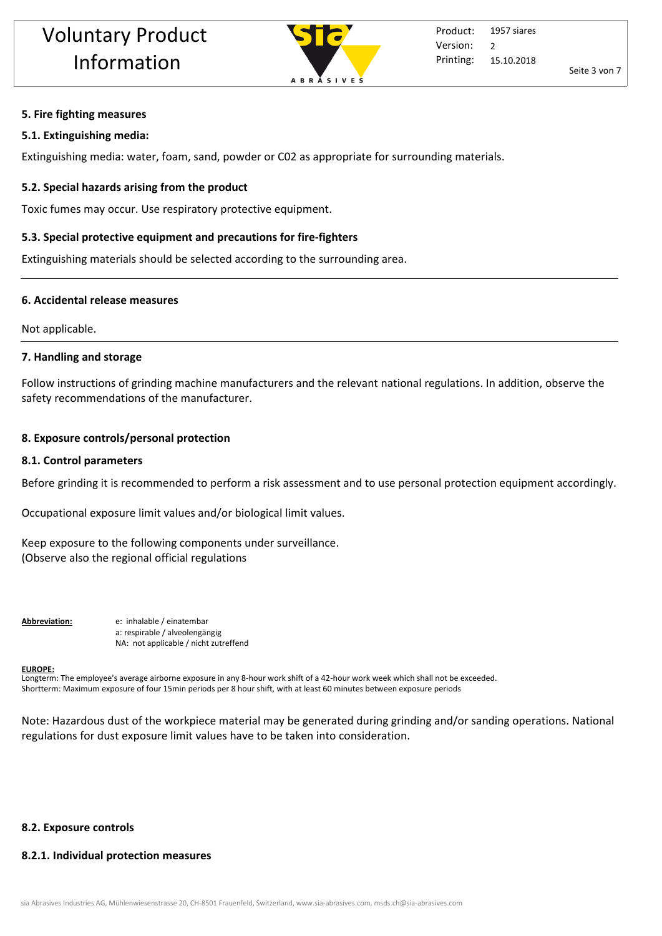

### **5. Fire fighting measures**

#### **5.1. Extinguishing media:**

Extinguishing media: water, foam, sand, powder or C02 as appropriate for surrounding materials.

## **5.2. Special hazards arising from the product**

Toxic fumes may occur. Use respiratory protective equipment.

## **5.3. Special protective equipment and precautions for fire-fighters**

Extinguishing materials should be selected according to the surrounding area.

## **6. Accidental release measures**

Not applicable.

## **7. Handling and storage**

Follow instructions of grinding machine manufacturers and the relevant national regulations. In addition, observe the safety recommendations of the manufacturer.

## **8. Exposure controls/personal protection**

## **8.1. Control parameters**

Before grinding it is recommended to perform a risk assessment and to use personal protection equipment accordingly.

Occupational exposure limit values and/or biological limit values.

Keep exposure to the following components under surveillance. (Observe also the regional official regulations

**Abbreviation:** e: inhalable / einatembar a: respirable / alveolengängig NA: not applicable / nicht zutreffend

#### **EUROPE:**

Longterm: The employee's average airborne exposure in any 8-hour work shift of a 42-hour work week which shall not be exceeded. Shortterm: Maximum exposure of four 15min periods per 8 hour shift, with at least 60 minutes between exposure periods

Note: Hazardous dust of the workpiece material may be generated during grinding and/or sanding operations. National regulations for dust exposure limit values have to be taken into consideration.

## **8.2. Exposure controls**

## **8.2.1. Individual protection measures**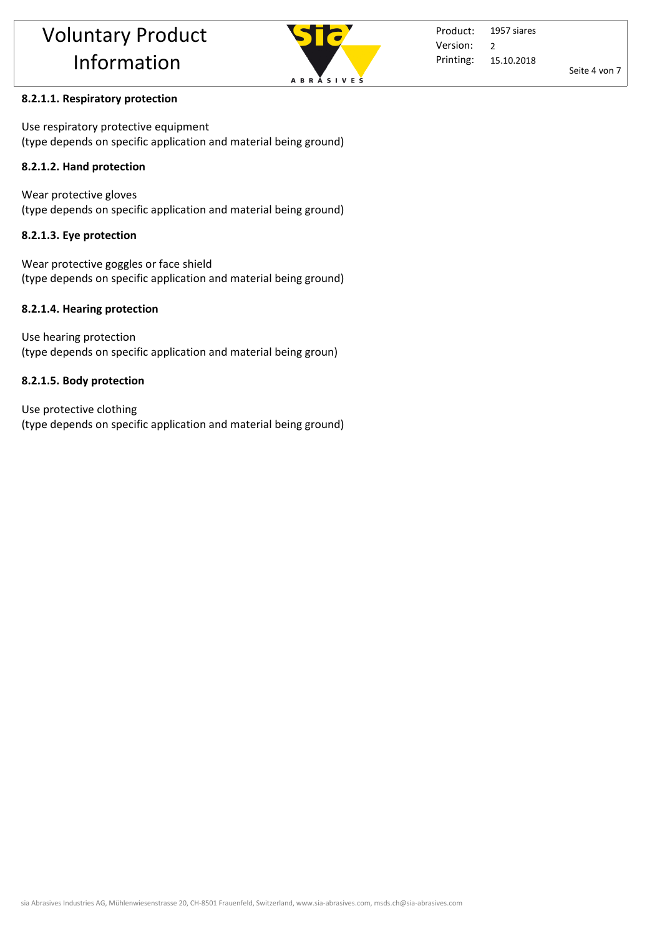

Product: Printing: 1957 siares 15.10.2018 Version: 2

Seite 4 von 7

# **8.2.1.1. Respiratory protection**

Use respiratory protective equipment (type depends on specific application and material being ground)

# **8.2.1.2. Hand protection**

Wear protective gloves (type depends on specific application and material being ground)

# **8.2.1.3. Eye protection**

Wear protective goggles or face shield (type depends on specific application and material being ground)

# **8.2.1.4. Hearing protection**

Use hearing protection (type depends on specific application and material being groun)

# **8.2.1.5. Body protection**

Use protective clothing (type depends on specific application and material being ground)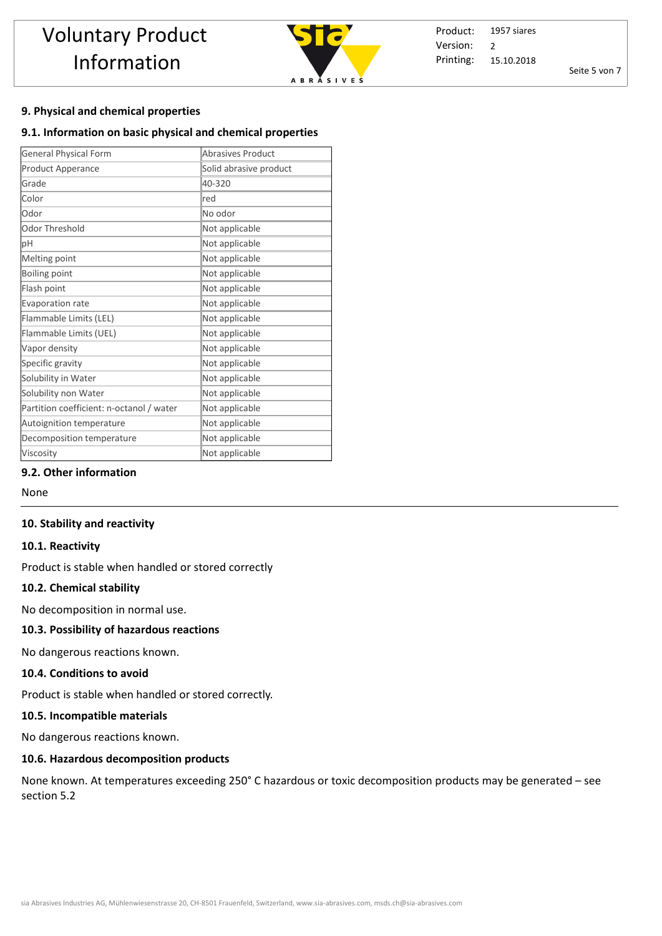

Product: Printing: 1957 siares 15.10.2018 Version: 2

Seite 5 von 7

#### **9. Physical and chemical properties**

#### **9.1. Information on basic physical and chemical properties**

| <b>General Physical Form</b>             | <b>Abrasives Product</b> |  |  |
|------------------------------------------|--------------------------|--|--|
| Product Apperance                        | Solid abrasive product   |  |  |
| Grade                                    | 40-320                   |  |  |
| Color                                    | red                      |  |  |
| Odor                                     | No odor                  |  |  |
| Odor Threshold                           | Not applicable           |  |  |
| pH                                       | Not applicable           |  |  |
| Melting point                            | Not applicable           |  |  |
| Boiling point                            | Not applicable           |  |  |
| Flash point                              | Not applicable           |  |  |
| Evaporation rate                         | Not applicable           |  |  |
| Flammable Limits (LEL)                   | Not applicable           |  |  |
| Flammable Limits (UEL)                   | Not applicable           |  |  |
| Vapor density                            | Not applicable           |  |  |
| Specific gravity                         | Not applicable           |  |  |
| Solubility in Water                      | Not applicable           |  |  |
| Solubility non Water                     | Not applicable           |  |  |
| Partition coefficient: n-octanol / water | Not applicable           |  |  |
| Autoignition temperature                 | Not applicable           |  |  |
| Decomposition temperature                | Not applicable           |  |  |
| Viscosity                                | Not applicable           |  |  |

#### **9.2. Other information**

None

#### **10. Stability and reactivity**

#### **10.1. Reactivity**

Product is stable when handled or stored correctly

#### **10.2. Chemical stability**

No decomposition in normal use.

#### **10.3. Possibility of hazardous reactions**

No dangerous reactions known.

#### **10.4. Conditions to avoid**

Product is stable when handled or stored correctly. 

#### **10.5. Incompatible materials**

No dangerous reactions known.

#### **10.6. Hazardous decomposition products**

None known. At temperatures exceeding 250° C hazardous or toxic decomposition products may be generated – see section 5.2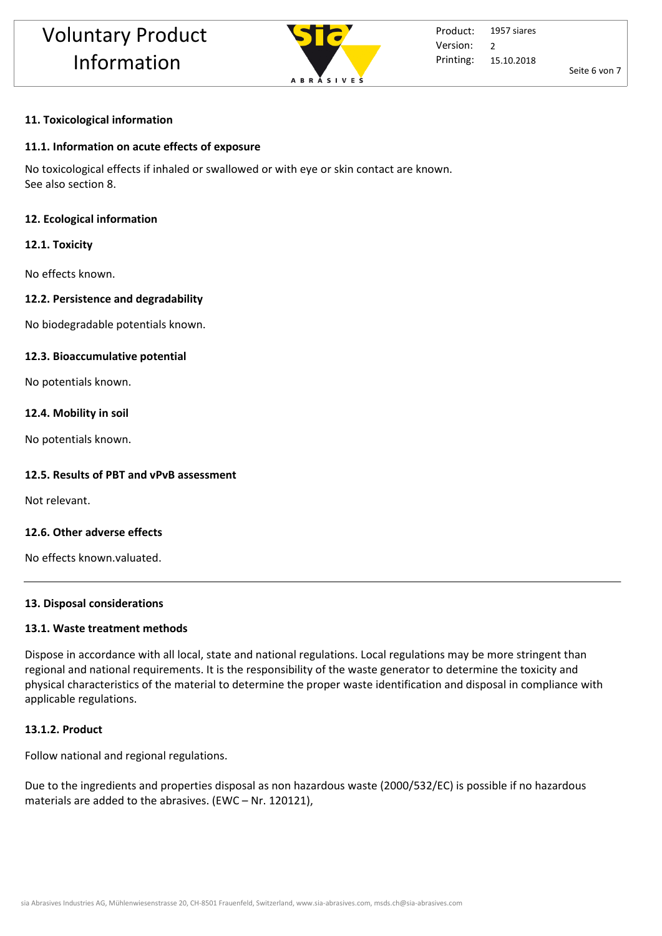

Seite 6 von 7

## **11. Toxicological information**

## **11.1. Information on acute effects of exposure**

No toxicological effects if inhaled or swallowed or with eye or skin contact are known. See also section 8.

## **12. Ecological information**

## **12.1. Toxicity**

No effects known.

## **12.2. Persistence and degradability**

No biodegradable potentials known.

## **12.3. Bioaccumulative potential**

No potentials known.

## **12.4. Mobility in soil**

No potentials known.

## **12.5. Results of PBT and vPvB assessment**

Not relevant.

## **12.6. Other adverse effects**

No effects known.valuated.

## **13. Disposal considerations**

## **13.1. Waste treatment methods**

Dispose in accordance with all local, state and national regulations. Local regulations may be more stringent than regional and national requirements. It is the responsibility of the waste generator to determine the toxicity and physical characteristics of the material to determine the proper waste identification and disposal in compliance with applicable regulations.

## **13.1.2. Product**

Follow national and regional regulations.

Due to the ingredients and properties disposal as non hazardous waste (2000/532/EC) is possible if no hazardous materials are added to the abrasives. (EWC – Nr. 120121),